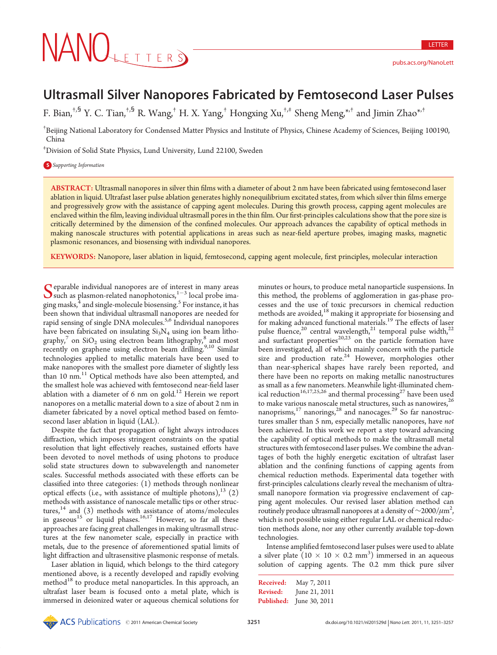# Ultrasmall Silver Nanopores Fabricated by Femtosecond Laser Pulses

F. Bian,†,§ Y. C. Tian,†,§ R. Wang,† H. X. Yang,† Hongxing Xu,†,‡ Sheng Meng,\*,† and Jimin Zhao\*,†

† Beijing National Laboratory for Condensed Matter Physics and Institute of Physics, Chinese Academy of Sciences, Beijing 100190, China

‡ Division of Solid State Physics, Lund University, Lund 22100, Sweden

## **S** Supporting Information

ABSTRACT: Ultrasmall nanopores in silver thin films with a diameter of about 2 nm have been fabricated using femtosecond laser ablation in liquid. Ultrafast laser pulse ablation generates highly nonequilibrium excitated states, from which silver thin films emerge and progressively grow with the assistance of capping agent molecules. During this growth process, capping agent molecules are enclaved within the film, leaving individual ultrasmall pores in the thin film. Our first-principles calculations show that the pore size is critically determined by the dimension of the confined molecules. Our approach advances the capability of optical methods in making nanoscale structures with potential applications in areas such as near-field aperture probes, imaging masks, magnetic plasmonic resonances, and biosensing with individual nanopores.

KEYWORDS: Nanopore, laser ablation in liquid, femtosecond, capping agent molecule, first principles, molecular interaction

Separable individual nanopores are of interest in many areas<br>such as plasmon-related nanophotonics,<sup>1-3</sup> local probe ima-<br>singurals <sup>4</sup> and single male played biographs<sup>5</sup> Equipments in her ging masks, $^{\tilde{4}}$  and single-molecule biosensing.  $^{\textrm{5}}$  For instance, it has been shown that individual ultrasmall nanopores are needed for rapid sensing of single DNA molecules.<sup>5,6</sup> Individual nanopores have been fabricated on insulating  $Si<sub>3</sub>N<sub>4</sub>$  using ion beam lithography,<sup>7</sup> on  $SiO<sub>2</sub>$  using electron beam lithography,<sup>8</sup> and most recently on graphene using electron beam drilling.<sup>9,10</sup> Similar technologies applied to metallic materials have been used to make nanopores with the smallest pore diameter of slightly less than 10 nm.<sup>11</sup> Optical methods have also been attempted, and the smallest hole was achieved with femtosecond near-field laser ablation with a diameter of 6 nm on gold.<sup>12</sup> Herein we report nanopores on a metallic material down to a size of about 2 nm in diameter fabricated by a novel optical method based on femtosecond laser ablation in liquid (LAL).

Despite the fact that propagation of light always introduces diffraction, which imposes stringent constraints on the spatial resolution that light effectively reaches, sustained efforts have been devoted to novel methods of using photons to produce solid state structures down to subwavelength and nanometer scales. Successful methods associated with these efforts can be classified into three categories: (1) methods through nonlinear optical effects (i.e., with assistance of multiple photons),  $^{13}$  (2) methods with assistance of nanoscale metallic tips or other structures, $14$  and (3) methods with assistance of atoms/molecules in gaseous<sup>15</sup> or liquid phases.<sup>16,17</sup> However, so far all these approaches are facing great challenges in making ultrasmall structures at the few nanometer scale, especially in practice with metals, due to the presence of aforementioned spatial limits of light diffraction and ultrasensitive plasmonic response of metals.

Laser ablation in liquid, which belongs to the third category mentioned above, is a recently developed and rapidly evolving method<sup>18</sup> to produce metal nanoparticles. In this approach, an ultrafast laser beam is focused onto a metal plate, which is immersed in deionized water or aqueous chemical solutions for

**Example 1981**<br> **Example 2011 Considered Example 2011 Considered Example 2011 Considered Example 2011 Considered Example 2011 Considered Example 2011 Considered Example 2013 Considered Example 2013 Conside** minutes or hours, to produce metal nanoparticle suspensions. In this method, the problems of agglomeration in gas-phase processes and the use of toxic precursors in chemical reduction methods are avoided,<sup>18</sup> making it appropriate for biosensing and for making advanced functional materials.<sup>19</sup> The effects of laser pulse fluence,<sup>20</sup> central wavelength,<sup>21</sup> temporal pulse width,<sup>22</sup> and surfactant properties<sup>20,23</sup> on the particle formation have been investigated, all of which mainly concern with the particle size and production rate.<sup>24</sup> However, morphologies other than near-spherical shapes have rarely been reported, and there have been no reports on making metallic nanostructures as small as a few nanometers. Meanwhile light-illuminated chemical reduction<sup>16,17,25,26</sup> and thermal processing<sup>27</sup> have been used to make various nanoscale metal structures, such as nanowires,<sup>26</sup> nanoprisms,<sup>17</sup> nanorings,<sup>28</sup> and nanocages.<sup>29</sup> So far nanostructures smaller than 5 nm, especially metallic nanopores, have not been achieved. In this work we report a step toward advancing the capability of optical methods to make the ultrasmall metal structures with femtosecond laser pulses. We combine the advantages of both the highly energetic excitation of ultrafast laser ablation and the confining functions of capping agents from chemical reduction methods. Experimental data together with first-principles calculations clearly reveal the mechanism of ultrasmall nanopore formation via progressive enclavement of capping agent molecules. Our revised laser ablation method can routinely produce ultrasmall nanopores at a density of  $\sim$ 2000/ $\mu$ m<sup>2</sup>, .<br>, which is not possible using either regular LAL or chemical reduction methods alone, nor any other currently available top-down technologies.

Intense amplified femtosecond laser pulses were used to ablate a silver plate  $(10 \times 10 \times 0.2 \text{ mm}^3)$  immersed in an aqueous solution of capping agents. The 0.2 mm thick pure silver

```
Published: June 30, 2011
Received: May 7, 2011
Revised: June 21, 2011
```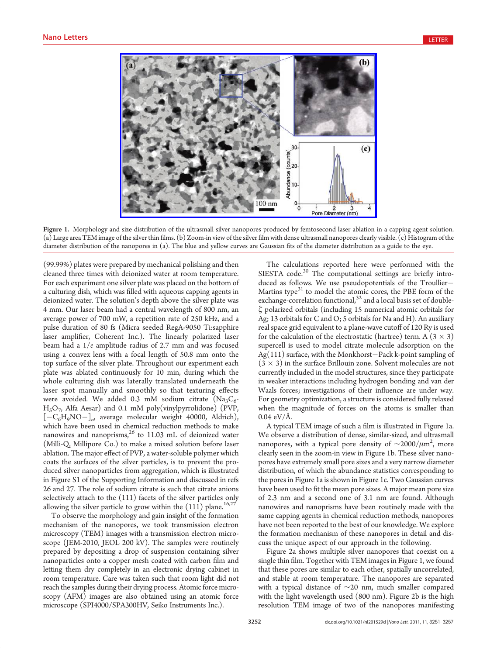

Figure 1. Morphology and size distribution of the ultrasmall silver nanopores produced by femtosecond laser ablation in a capping agent solution. (a) Large area TEM image of the silver thin films. (b) Zoom-in view of the silver film with dense ultrasmall nanopores clearly visible. (c) Histogram of the diameter distribution of the nanopores in (a). The blue and yellow curves are Gaussian fits of the diameter distribution as a guide to the eye.

(99.99%) plates were prepared by mechanical polishing and then cleaned three times with deionized water at room temperature. For each experiment one silver plate was placed on the bottom of a culturing dish, which was filled with aqueous capping agents in deionized water. The solution's depth above the silver plate was 4 mm. Our laser beam had a central wavelength of 800 nm, an average power of 700 mW, a repetition rate of 250 kHz, and a pulse duration of 80 fs (Micra seeded RegA-9050 Ti:sapphire laser amplifier, Coherent Inc.). The linearly polarized laser beam had a 1/e amplitude radius of 2.7 mm and was focused using a convex lens with a focal length of 50.8 mm onto the top surface of the silver plate. Throughout our experiment each plate was ablated continuously for 10 min, during which the whole culturing dish was laterally translated underneath the laser spot manually and smoothly so that texturing effects were avoided. We added 0.3 mM sodium citrate  $(Na_3C_6$ - $H<sub>5</sub>O<sub>7</sub>$ , Alfa Aesar) and 0.1 mM poly(vinylpyrrolidone) (PVP,  $[-C_6H_9NO-]_{n}$ , average molecular weight 40000, Aldrich), which have been used in chemical reduction methods to make nanowires and nanoprisms, $^{26}$  to 11.03 mL of deionized water (Milli-Q, Millipore Co.) to make a mixed solution before laser ablation. The major effect of PVP, a water-soluble polymer which coats the surfaces of the silver particles, is to prevent the produced silver nanoparticles from aggregation, which is illustrated in Figure S1 of the Supporting Information and discussed in refs 26 and 27. The role of sodium citrate is such that citrate anions selectively attach to the (111) facets of the silver particles only allowing the silver particle to grow within the  $(11\bar{1})$  plane.<sup>16,27</sup>

To observe the morphology and gain insight of the formation mechanism of the nanopores, we took transmission electron microscopy (TEM) images with a transmission electron microscope (JEM-2010, JEOL 200 kV). The samples were routinely prepared by depositing a drop of suspension containing silver nanoparticles onto a copper mesh coated with carbon film and letting them dry completely in an electronic drying cabinet in room temperature. Care was taken such that room light did not reach the samples during their drying process. Atomic force microscopy (AFM) images are also obtained using an atomic force microscope (SPI4000/SPA300HV, Seiko Instruments Inc.).

The calculations reported here were performed with the SIESTA code.<sup>30</sup> The computational settings are briefly introduced as follows. We use pseudopotentials of the Troullier Martins type $31$  to model the atomic cores, the PBE form of the exchange-correlation functional,<sup>32</sup> and a local basis set of doubleζ polarized orbitals (including 15 numerical atomic orbitals for Ag; 13 orbitals for C and O; 5 orbitals for Na and H). An auxiliary real space grid equivalent to a plane-wave cutoff of 120 Ry is used for the calculation of the electrostatic (hartree) term. A  $(3 \times 3)$ supercell is used to model citrate molecule adsorption on the  $Ag(111)$  surface, with the Monkhorst-Pack k-point sampling of  $(3 \times 3)$  in the surface Brillouin zone. Solvent molecules are not currently included in the model structures, since they participate in weaker interactions including hydrogen bonding and van der Waals forces; investigations of their influence are under way. For geometry optimization, a structure is considered fully relaxed when the magnitude of forces on the atoms is smaller than 0.04 eV/Å.

A typical TEM image of such a film is illustrated in Figure 1a. We observe a distribution of dense, similar-sized, and ultrasmall nanopores, with a typical pore density of  $\sim$ 2000/ $\mu$ m<sup>2</sup>, more clearly seen in the zoom-in view in Figure 1b. These silver nanopores have extremely small pore sizes and a very narrow diameter distribution, of which the abundance statistics corresponding to the pores in Figure 1a is shown in Figure 1c. Two Gaussian curves have been used to fit the mean pore sizes. A major mean pore size of 2.3 nm and a second one of 3.1 nm are found. Although nanowires and nanoprisms have been routinely made with the same capping agents in chemical reduction methods, nanopores have not been reported to the best of our knowledge. We explore the formation mechanism of these nanopores in detail and discuss the unique aspect of our approach in the following.

Figure 2a shows multiple silver nanopores that coexist on a single thin film. Together with TEM images in Figure 1, we found that these pores are similar to each other, spatially uncorrelated, and stable at room temperature. The nanopores are separated with a typical distance of ∼20 nm, much smaller compared with the light wavelength used (800 nm). Figure 2b is the high resolution TEM image of two of the nanopores manifesting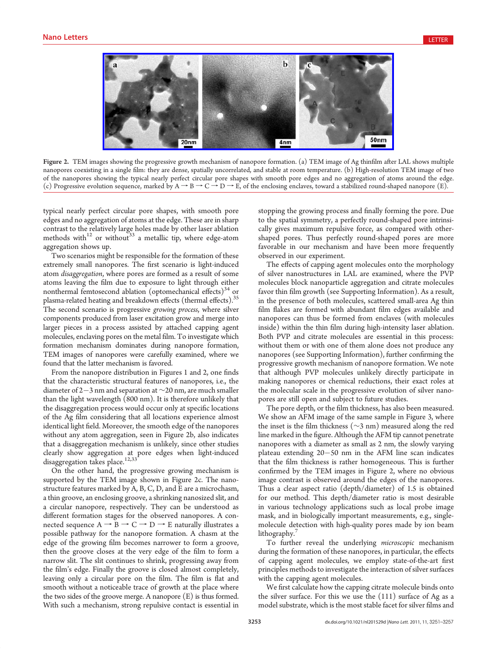

Figure 2. TEM images showing the progressive growth mechanism of nanopore formation. (a) TEM image of Ag thinfilm after LAL shows multiple nanopores coexisting in a single film: they are dense, spatially uncorrelated, and stable at room temperature. (b) High-resolution TEM image of two of the nanopores showing the typical nearly perfect circular pore shapes with smooth pore edges and no aggregation of atoms around the edge. (c) Progressive evolution sequence, marked by  $A \rightarrow B \rightarrow C \rightarrow D \rightarrow E$ , of the enclosing enclaves, toward a stabilized round-shaped nanopore (E).

typical nearly perfect circular pore shapes, with smooth pore edges and no aggregation of atoms at the edge. These are in sharp contrast to the relatively large holes made by other laser ablation methods with $12$  or without<sup>33</sup> a metallic tip, where edge-atom aggregation shows up.

Two scenarios might be responsible for the formation of these extremely small nanopores. The first scenario is light-induced atom disaggregation, where pores are formed as a result of some atoms leaving the film due to exposure to light through either nonthermal femtosecond ablation (optomechanical effects) $34$  or plasma-related heating and breakdown effects (thermal effects).<sup>35</sup> The second scenario is progressive growing process, where silver components produced from laser excitation grow and merge into larger pieces in a process assisted by attached capping agent molecules, enclaving pores on the metal film. To investigate which formation mechanism dominates during nanopore formation, TEM images of nanopores were carefully examined, where we found that the latter mechanism is favored.

From the nanopore distribution in Figures 1 and 2, one finds that the characteristic structural features of nanopores, i.e., the diameter of 2-3 nm and separation at  $\sim$ 20 nm, are much smaller than the light wavelength (800 nm). It is therefore unlikely that the disaggregation process would occur only at specific locations of the Ag film considering that all locations experience almost identical light field. Moreover, the smooth edge of the nanopores without any atom aggregation, seen in Figure 2b, also indicates that a disaggregation mechanism is unlikely, since other studies clearly show aggregation at pore edges when light-induced disaggregation takes place.<sup>12,33</sup>

On the other hand, the progressive growing mechanism is supported by the TEM image shown in Figure 2c. The nanostructure features marked by A, B, C, D, and E are a microchasm, a thin groove, an enclosing groove, a shrinking nanosized slit, and a circular nanopore, respectively. They can be understood as different formation stages for the observed nanopores. A connected sequence  $A \rightarrow B \rightarrow C \rightarrow D \rightarrow E$  naturally illustrates a possible pathway for the nanopore formation. A chasm at the edge of the growing film becomes narrower to form a groove, then the groove closes at the very edge of the film to form a narrow slit. The slit continues to shrink, progressing away from the film's edge. Finally the groove is closed almost completely, leaving only a circular pore on the film. The film is flat and smooth without a noticeable trace of growth at the place where the two sides of the groove merge. A nanopore (E) is thus formed. With such a mechanism, strong repulsive contact is essential in

stopping the growing process and finally forming the pore. Due to the spatial symmetry, a perfectly round-shaped pore intrinsically gives maximum repulsive force, as compared with othershaped pores. Thus perfectly round-shaped pores are more favorable in our mechanism and have been more frequently observed in our experiment.

The effects of capping agent molecules onto the morphology of silver nanostructures in LAL are examined, where the PVP molecules block nanoparticle aggregation and citrate molecules favor thin film growth (see Supporting Information). As a result, in the presence of both molecules, scattered small-area Ag thin film flakes are formed with abundant film edges available and nanopores can thus be formed from enclaves (with molecules inside) within the thin film during high-intensity laser ablation. Both PVP and citrate molecules are essential in this process: without them or with one of them alone does not produce any nanopores (see Supporting Information), further confirming the progressive growth mechanism of nanopore formation. We note that although PVP molecules unlikely directly participate in making nanopores or chemical reductions, their exact roles at the molecular scale in the progressive evolution of silver nanopores are still open and subject to future studies.

The pore depth, or the film thickness, has also been measured. We show an AFM image of the same sample in Figure 3, where the inset is the film thickness (∼3 nm) measured along the red line marked in the figure. Although the AFM tip cannot penetrate nanopores with a diameter as small as 2 nm, the slowly varying plateau extending  $20-50$  nm in the AFM line scan indicates that the film thickness is rather homogeneous. This is further confirmed by the TEM images in Figure 2, where no obvious image contrast is observed around the edges of the nanopores. Thus a clear aspect ratio (depth/diameter) of 1.5 is obtained for our method. This depth/diameter ratio is most desirable in various technology applications such as local probe image mask, and in biologically important measurements, e.g., singlemolecule detection with high-quality pores made by ion beam lithography.<sup>7</sup>

To further reveal the underlying microscopic mechanism during the formation of these nanopores, in particular, the effects of capping agent molecules, we employ state-of-the-art first principles methods to investigate the interaction of silver surfaces with the capping agent molecules.

We first calculate how the capping citrate molecule binds onto the silver surface. For this we use the (111) surface of Ag as a model substrate, which is the most stable facet for silver films and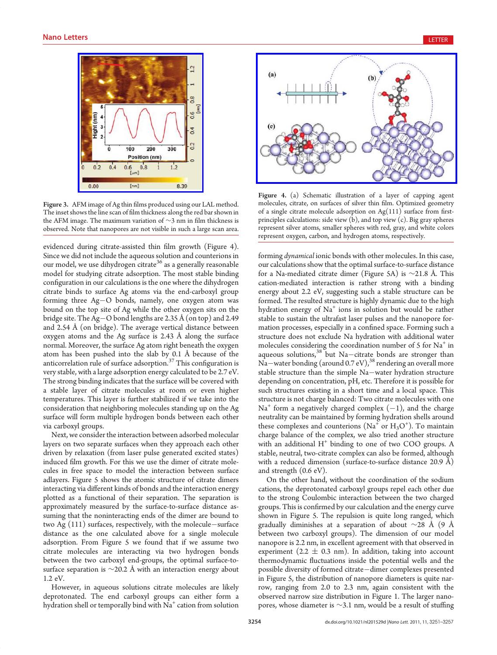

Figure 3. AFM image of Ag thin films produced using our LAL method. The inset shows the line scan of film thickness along the red bar shown in the AFM image. The maximum variation of <sup>∼</sup>3 nm in film thickness is observed. Note that nanopores are not visible in such a large scan area.

evidenced during citrate-assisted thin film growth (Figure 4). Since we did not include the aqueous solution and counterions in our model, we use dihydrogen citrate<sup>36</sup> as a generally reasonable model for studying citrate adsorption. The most stable binding configuration in our calculations is the one where the dihydrogen citrate binds to surface Ag atoms via the end-carboxyl group forming three  $Ag-O$  bonds, namely, one oxygen atom was bound on the top site of Ag while the other oxygen sits on the bridge site. The Ag-O bond lengths are 2.35 Å (on top) and 2.49 and 2.54 Å (on bridge). The average vertical distance between oxygen atoms and the Ag surface is 2.43 Å along the surface normal. Moreover, the surface Ag atom right beneath the oxygen atom has been pushed into the slab by 0.1 Å because of the anticorrelation rule of surface adsorption.<sup>37</sup> This configuration is very stable, with a large adsorption energy calculated to be 2.7 eV. The strong binding indicates that the surface will be covered with a stable layer of citrate molecules at room or even higher temperatures. This layer is further stabilized if we take into the consideration that neighboring molecules standing up on the Ag surface will form multiple hydrogen bonds between each other via carboxyl groups.

Next, we consider the interaction between adsorbed molecular layers on two separate surfaces when they approach each other driven by relaxation (from laser pulse generated excited states) induced film growth. For this we use the dimer of citrate molecules in free space to model the interaction between surface adlayers. Figure 5 shows the atomic structure of citrate dimers interacting via different kinds of bonds and the interaction energy plotted as a functional of their separation. The separation is approximately measured by the surface-to-surface distance assuming that the noninteracting ends of the dimer are bound to two Ag  $(111)$  surfaces, respectively, with the molecule-surface distance as the one calculated above for a single molecule adsorption. From Figure 5 we found that if we assume two citrate molecules are interacting via two hydrogen bonds between the two carboxyl end-groups, the optimal surface-tosurface separation is  $\sim$ 20.2 Å with an interaction energy about 1.2 eV.

However, in aqueous solutions citrate molecules are likely deprotonated. The end carboxyl groups can either form a hydration shell or temporally bind with Na<sup>+</sup> cation from solution



Figure 4. (a) Schematic illustration of a layer of capping agent molecules, citrate, on surfaces of silver thin film. Optimized geometry of a single citrate molecule adsorption on  $Ag(111)$  surface from firstprinciples calculations: side view  $(b)$ , and top view  $(c)$ . Big gray spheres represent silver atoms, smaller spheres with red, gray, and white colors represent oxygen, carbon, and hydrogen atoms, respectively.

forming dynamical ionic bonds with other molecules. In this case, our calculations show that the optimal surface-to-surface distance for a Na-mediated citrate dimer (Figure 5A) is ∼21.8 Å. This cation-mediated interaction is rather strong with a binding energy about 2.2 eV, suggesting such a stable structure can be formed. The resulted structure is highly dynamic due to the high hydration energy of  $Na<sup>+</sup>$  ions in solution but would be rather stable to sustain the ultrafast laser pulses and the nanopore formation processes, especially in a confined space. Forming such a structure does not exclude Na hydration with additional water molecules considering the coordination number of  $5$  for  $Na<sup>+</sup>$  in aqueous solutions,  $38$  but Na-citrate bonds are stronger than Na-water bonding (around 0.7 eV),<sup>38</sup> rendering an overall more stable structure than the simple Na-water hydration structure depending on concentration, pH, etc. Therefore it is possible for such structures existing in a short time and a local space. This structure is not charge balanced: Two citrate molecules with one  $Na<sup>+</sup>$  form a negatively charged complex  $(-1)$ , and the charge neutrality can be maintained by forming hydration shells around these complexes and counterions  $(Na^{\dagger}$  or  $H_3O^{\dagger})$ . To maintain charge balance of the complex, we also tried another structure with an additional  $H^+$  binding to one of two COO groups. A stable, neutral, two-citrate complex can also be formed, although with a reduced dimension (surface-to-surface distance 20.9 Å) and strength (0.6 eV).

On the other hand, without the coordination of the sodium cations, the deprotonated carboxyl groups repel each other due to the strong Coulombic interaction between the two charged groups. This is confirmed by our calculation and the energy curve shown in Figure 5. The repulsion is quite long ranged, which gradually diminishes at a separation of about  $\sim$ 28 Å (9 Å between two carboxyl groups). The dimension of our model nanopore is 2.2 nm, in excellent agreement with that observed in experiment (2.2  $\pm$  0.3 nm). In addition, taking into account thermodynamic fluctuations inside the potential wells and the possible diversity of formed citrate-dimer complexes presented in Figure 5, the distribution of nanopore diameters is quite narrow, ranging from 2.0 to 2.3 nm, again consistent with the observed narrow size distribution in Figure 1. The larger nanopores, whose diameter is <sup>∼</sup>3.1 nm, would be a result of stuffing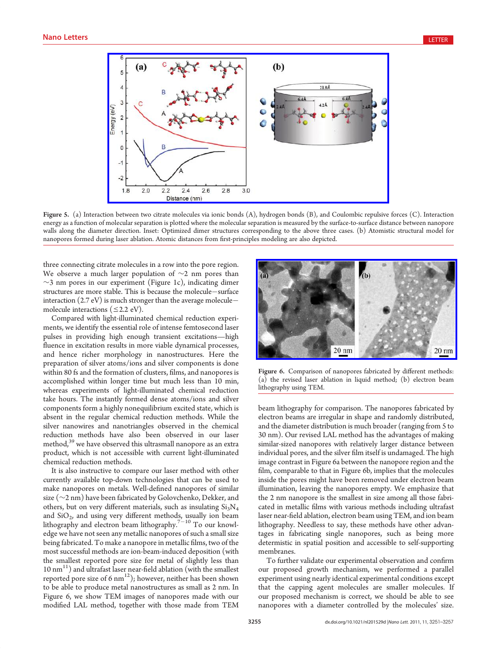

Figure 5. (a) Interaction between two citrate molecules via ionic bonds (A), hydrogen bonds (B), and Coulombic repulsive forces (C). Interaction energy as a function of molecular separation is plotted where the molecular separation is measured by the surface-to-surface distance between nanopore walls along the diameter direction. Inset: Optimized dimer structures corresponding to the above three cases. (b) Atomistic structural model for nanopores formed during laser ablation. Atomic distances from first-principles modeling are also depicted.

three connecting citrate molecules in a row into the pore region. We observe a much larger population of  $\sim$ 2 nm pores than  $\sim$ 3 nm pores in our experiment (Figure 1c), indicating dimer structures are more stable. This is because the molecule-surface interaction (2.7 eV) is much stronger than the average molecule molecule interactions ( $\leq$ 2.2 eV).

Compared with light-illuminated chemical reduction experiments, we identify the essential role of intense femtosecond laser pulses in providing high enough transient excitations—high fluence in excitation results in more viable dynamical processes, and hence richer morphology in nanostructures. Here the preparation of silver atoms/ions and silver components is done within 80 fs and the formation of clusters, films, and nanopores is accomplished within longer time but much less than 10 min, whereas experiments of light-illuminated chemical reduction take hours. The instantly formed dense atoms/ions and silver components form a highly nonequilibrium excited state, which is absent in the regular chemical reduction methods. While the silver nanowires and nanotriangles observed in the chemical reduction methods have also been observed in our laser method,<sup>39</sup> we have observed this ultrasmall nanopore as an extra product, which is not accessible with current light-illuminated chemical reduction methods.

It is also instructive to compare our laser method with other currently available top-down technologies that can be used to make nanopores on metals. Well-defined nanopores of similar size (∼2 nm) have been fabricated by Golovchenko, Dekker, and others, but on very different materials, such as insulating  $Si<sub>3</sub>N<sub>4</sub>$ and SiO<sub>2</sub>, and using very different methods, usually ion beam lithography and electron beam lithography. $7-10$  To our knowledge we have not seen any metallic nanopores of such a small size being fabricated. To make a nanopore in metallic films, two of the most successful methods are ion-beam-induced deposition (with the smallest reported pore size for metal of slightly less than  $10 \text{ nm}^{11}$ ) and ultrafast laser near-field ablation (with the smallest reported pore size of 6  $nm^{12}$ ); however, neither has been shown to be able to produce metal nanostructures as small as 2 nm. In Figure 6, we show TEM images of nanopores made with our modified LAL method, together with those made from TEM



Figure 6. Comparison of nanopores fabricated by different methods: (a) the revised laser ablation in liquid method; (b) electron beam lithography using TEM.

beam lithography for comparison. The nanopores fabricated by electron beams are irregular in shape and randomly distributed, and the diameter distribution is much broader (ranging from 5 to 30 nm). Our revised LAL method has the advantages of making similar-sized nanopores with relatively larger distance between individual pores, and the silver film itself is undamaged. The high image contrast in Figure 6a between the nanopore region and the film, comparable to that in Figure 6b, implies that the molecules inside the pores might have been removed under electron beam illumination, leaving the nanopores empty. We emphasize that the 2 nm nanopore is the smallest in size among all those fabricated in metallic films with various methods including ultrafast laser near-field ablation, electron beam using TEM, and ion beam lithography. Needless to say, these methods have other advantages in fabricating single nanopores, such as being more determistic in spatial position and accessible to self-supporting membranes.

To further validate our experimental observation and confirm our proposed growth mechanism, we performed a parallel experiment using nearly identical experimental conditions except that the capping agent molecules are smaller molecules. If our proposed mechanism is correct, we should be able to see nanopores with a diameter controlled by the molecules' size.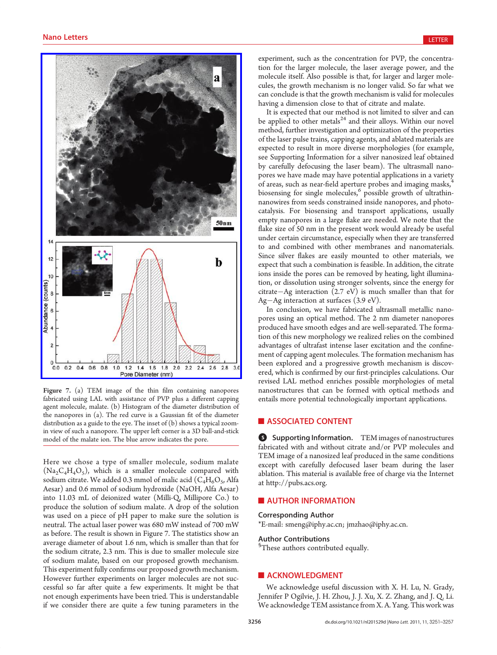

Figure 7. (a) TEM image of the thin film containing nanopores fabricated using LAL with assistance of PVP plus a different capping agent molecule, malate. (b) Histogram of the diameter distribution of the nanopores in (a). The red curve is a Gaussian fit of the diameter distribution as a guide to the eye. The inset of (b) shows a typical zoomin view of such a nanopore. The upper left corner is a 3D ball-and-stick model of the malate ion. The blue arrow indicates the pore.

Here we chose a type of smaller molecule, sodium malate  $(Na_2C_4H_4O_5)$ , which is a smaller molecule compared with sodium citrate. We added 0.3 mmol of malic acid  $(C_4H_6O_5)$ , Alfa Aesar) and 0.6 mmol of sodium hydroxide (NaOH, Alfa Aesar) into 11.03 mL of deionized water (Milli-Q, Millipore Co.) to produce the solution of sodium malate. A drop of the solution was used on a piece of pH paper to make sure the solution is neutral. The actual laser power was 680 mW instead of 700 mW as before. The result is shown in Figure 7. The statistics show an average diameter of about 1.6 nm, which is smaller than that for the sodium citrate, 2.3 nm. This is due to smaller molecule size of sodium malate, based on our proposed growth mechanism. This experiment fully confirms our proposed growth mechanism. However further experiments on larger molecules are not successful so far after quite a few experiments. It might be that not enough experiments have been tried. This is understandable if we consider there are quite a few tuning parameters in the experiment, such as the concentration for PVP, the concentration for the larger molecule, the laser average power, and the molecule itself. Also possible is that, for larger and larger molecules, the growth mechanism is no longer valid. So far what we can conclude is that the growth mechanism is valid for molecules having a dimension close to that of citrate and malate.

It is expected that our method is not limited to silver and can be applied to other metals<sup>24</sup> and their alloys. Within our novel method, further investigation and optimization of the properties of the laser pulse trains, capping agents, and ablated materials are expected to result in more diverse morphologies (for example, see Supporting Information for a silver nanosized leaf obtained by carefully defocusing the laser beam). The ultrasmall nanopores we have made may have potential applications in a variety of areas, such as near-field aperture probes and imaging masks, biosensing for single molecules,<sup>6</sup> possible growth of ultrathinnanowires from seeds constrained inside nanopores, and photocatalysis. For biosensing and transport applications, usually empty nanopores in a large flake are needed. We note that the flake size of 50 nm in the present work would already be useful under certain circumstance, especially when they are transferred to and combined with other membranes and nanomaterials. Since silver flakes are easily mounted to other materials, we expect that such a combination is feasible. In addition, the citrate ions inside the pores can be removed by heating, light illumination, or dissolution using stronger solvents, since the energy for citrate-Ag interaction  $(2.7 \text{ eV})$  is much smaller than that for Ag-Ag interaction at surfaces  $(3.9 \text{ eV})$ .

In conclusion, we have fabricated ultrasmall metallic nanopores using an optical method. The 2 nm diameter nanopores produced have smooth edges and are well-separated. The formation of this new morphology we realized relies on the combined advantages of ultrafast intense laser excitation and the confinement of capping agent molecules. The formation mechanism has been explored and a progressive growth mechanism is discovered, which is confirmed by our first-principles calculations. Our revised LAL method enriches possible morphologies of metal nanostructures that can be formed with optical methods and entails more potential technologically important applications.

# **ASSOCIATED CONTENT**

**6** Supporting Information. TEM images of nanostructures fabricated with and without citrate and/or PVP molecules and TEM image of a nanosized leaf produced in the same conditions except with carefully defocused laser beam during the laser ablation. This material is available free of charge via the Internet at http://pubs.acs.org.

# **AUTHOR INFORMATION**

# Corresponding Author

\*E-mail: smeng@iphy.ac.cn; jmzhao@iphy.ac.cn.

# Author Contributions

<sup>§</sup>These authors contributed equally.

## **ACKNOWLEDGMENT**

We acknowledge useful discussion with X. H. Lu, N. Grady, Jennifer P Ogilvie, J. H. Zhou, J. J. Xu, X. Z. Zhang, and J. Q. Li. We acknowledge TEM assistance from X. A. Yang. This work was